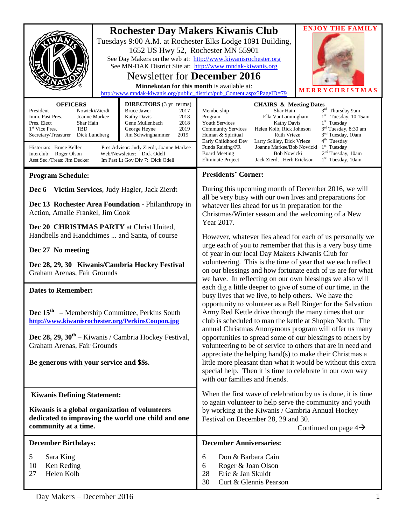|                                                                                                                                                                                                                                                                                                                                                                                                                                                                                                                                                                                                                                           | <b>Rochester Day Makers Kiwanis Club</b><br>1652 US Hwy 52, Rochester MN 55901<br>See Day Makers on the web at: http://www.kiwanisrochester.org<br>See MN-DAK District Site at: http://www.mndak-kiwanis.org<br><b>Newsletter for December 2016</b><br>Minnekotan for this month is available at:<br>http://www.mndak-kiwanis.org/public_district/pub_Content.aspx?PageID=79 | Tuesdays 9:00 A.M. at Rochester Elks Lodge 1091 Building,                                                                                                                                                                                                                                                                                                                                                                                                                                                                                                                                                                                                                                                                                                                                                                                                                                                                                                                                                                                                                                                                                                                                                                                                                                                                                        | <b>ENJOY THE FAMILY</b><br>MERRYCHRIS                                                                                                                                                                                                |
|-------------------------------------------------------------------------------------------------------------------------------------------------------------------------------------------------------------------------------------------------------------------------------------------------------------------------------------------------------------------------------------------------------------------------------------------------------------------------------------------------------------------------------------------------------------------------------------------------------------------------------------------|------------------------------------------------------------------------------------------------------------------------------------------------------------------------------------------------------------------------------------------------------------------------------------------------------------------------------------------------------------------------------|--------------------------------------------------------------------------------------------------------------------------------------------------------------------------------------------------------------------------------------------------------------------------------------------------------------------------------------------------------------------------------------------------------------------------------------------------------------------------------------------------------------------------------------------------------------------------------------------------------------------------------------------------------------------------------------------------------------------------------------------------------------------------------------------------------------------------------------------------------------------------------------------------------------------------------------------------------------------------------------------------------------------------------------------------------------------------------------------------------------------------------------------------------------------------------------------------------------------------------------------------------------------------------------------------------------------------------------------------|--------------------------------------------------------------------------------------------------------------------------------------------------------------------------------------------------------------------------------------|
| <b>OFFICERS</b><br><b>DIRECTORS</b> (3 yr terms)<br><b>Bruce Jawer</b><br>President<br>Nowicki/Zierdt<br>2017<br>2018<br>Imm. Past Pres.<br>Joanne Markee<br><b>Kathy Davis</b><br>2018<br>Pres. Elect<br>Shar Hain<br>Gene Mullenbach<br>2019<br>1 <sup>st</sup> Vice Pres.<br>TBD<br>George Heyne<br>Secretary/Treasurer<br>Dick Lundberg<br>Jim Schwinghammer<br>2019<br>Historian: Bruce Keller<br>Pres. Advisor: Judy Zierdt, Joanne Markee<br>Interclub: Roger Olson<br>Web/Newsletter: Dick Odell<br>Asst Sec./Treas: Jim Decker<br>Im Past Lt Gov Div 7: Dick Odell                                                               |                                                                                                                                                                                                                                                                                                                                                                              | <b>CHAIRS &amp; Meeting Dates</b><br>Membership<br>Shar Hain<br>Program<br>Ella VanLanningham<br><b>Youth Services</b><br><b>Kathy Davis</b><br>Helen Kolb, Rick Johnson<br><b>Community Services</b><br>Human & Spiritual<br><b>Ruth Vrieze</b><br>Early Childhood Dev<br>Larry Scilley, Dick Vrieze<br>Funds Raising/PR<br>Joanne Markee/Bob Nowicki<br><b>Bob Nowicki</b><br><b>Board Meeting</b><br><b>Eliminate Project</b><br>Jack Zierdt, Herb Erickson                                                                                                                                                                                                                                                                                                                                                                                                                                                                                                                                                                                                                                                                                                                                                                                                                                                                                   | 3rd Thursday 9am<br>$1st$ Tuesday, 10:15am<br>$1st$ Tuesday<br>3 <sup>rd</sup> Tuesday, 8:30 am<br>3 <sup>nd</sup> Tuesday, 10am<br>4 <sup>th</sup> Tuesday<br>$1st$ Tuesday<br>2 <sup>nd</sup> Tuesday, 10am<br>$1st$ Tuesday, 10am |
| <b>Program Schedule:</b>                                                                                                                                                                                                                                                                                                                                                                                                                                                                                                                                                                                                                  |                                                                                                                                                                                                                                                                                                                                                                              | <b>Presidents' Corner:</b>                                                                                                                                                                                                                                                                                                                                                                                                                                                                                                                                                                                                                                                                                                                                                                                                                                                                                                                                                                                                                                                                                                                                                                                                                                                                                                                       |                                                                                                                                                                                                                                      |
| Victim Services, Judy Hagler, Jack Zierdt<br>Dec 6<br>Dec 13 Rochester Area Foundation - Philanthropy in<br>Action, Amalie Frankel, Jim Cook<br>Dec 20 CHRISTMAS PARTY at Christ United,<br>Handbells and Handchimes  and Santa, of course<br>Dec 27 No meeting<br>Dec 28, 29, 30 Kiwanis/Cambria Hockey Festival<br>Graham Arenas, Fair Grounds<br><b>Dates to Remember:</b><br><b>Dec</b> $15th$ – Membership Committee, Perkins South<br>http://www.kiwanisrochester.org/PerkinsCoupon.jpg<br>Dec $28$ , $29$ , $30th$ – Kiwanis / Cambria Hockey Festival,<br>Graham Arenas, Fair Grounds<br>Be generous with your service and \$\$s. |                                                                                                                                                                                                                                                                                                                                                                              | During this upcoming month of December 2016, we will<br>all be very busy with our own lives and preparations for<br>whatever lies ahead for us in preparation for the<br>Christmas/Winter season and the welcoming of a New<br>Year 2017.<br>However, whatever lies ahead for each of us personally we<br>urge each of you to remember that this is a very busy time<br>of year in our local Day Makers Kiwanis Club for<br>volunteering. This is the time of year that we each reflect<br>on our blessings and how fortunate each of us are for what<br>we have. In reflecting on our own blessings we also will<br>each dig a little deeper to give of some of our time, in the<br>busy lives that we live, to help others. We have the<br>opportunity to volunteer as a Bell Ringer for the Salvation<br>Army Red Kettle drive through the many times that our<br>club is scheduled to man the kettle at Shopko North. The<br>annual Christmas Anonymous program will offer us many<br>opportunities to spread some of our blessings to others by<br>volunteering to be of service to others that are in need and<br>appreciate the helping hand(s) to make their Christmas a<br>little more pleasant than what it would be without this extra<br>special help. Then it is time to celebrate in our own way<br>with our families and friends. |                                                                                                                                                                                                                                      |
| <b>Kiwanis Defining Statement:</b>                                                                                                                                                                                                                                                                                                                                                                                                                                                                                                                                                                                                        |                                                                                                                                                                                                                                                                                                                                                                              | When the first wave of celebration by us is done, it is time<br>to again volunteer to help serve the community and youth<br>by working at the Kiwanis / Cambria Annual Hockey<br>Festival on December 28, 29 and 30.<br>Continued on page $4\rightarrow$                                                                                                                                                                                                                                                                                                                                                                                                                                                                                                                                                                                                                                                                                                                                                                                                                                                                                                                                                                                                                                                                                         |                                                                                                                                                                                                                                      |
| Kiwanis is a global organization of volunteers<br>dedicated to improving the world one child and one<br>community at a time.                                                                                                                                                                                                                                                                                                                                                                                                                                                                                                              |                                                                                                                                                                                                                                                                                                                                                                              |                                                                                                                                                                                                                                                                                                                                                                                                                                                                                                                                                                                                                                                                                                                                                                                                                                                                                                                                                                                                                                                                                                                                                                                                                                                                                                                                                  |                                                                                                                                                                                                                                      |
| <b>December Birthdays:</b>                                                                                                                                                                                                                                                                                                                                                                                                                                                                                                                                                                                                                |                                                                                                                                                                                                                                                                                                                                                                              | <b>December Anniversaries:</b>                                                                                                                                                                                                                                                                                                                                                                                                                                                                                                                                                                                                                                                                                                                                                                                                                                                                                                                                                                                                                                                                                                                                                                                                                                                                                                                   |                                                                                                                                                                                                                                      |
| 5<br>Sara King<br>10<br>Ken Reding<br>Helen Kolb<br>27                                                                                                                                                                                                                                                                                                                                                                                                                                                                                                                                                                                    |                                                                                                                                                                                                                                                                                                                                                                              | Don & Barbara Cain<br>6<br>Roger & Joan Olson<br>6<br>Eric & Jan Skuldt<br>28<br>30<br>Curt & Glennis Pearson                                                                                                                                                                                                                                                                                                                                                                                                                                                                                                                                                                                                                                                                                                                                                                                                                                                                                                                                                                                                                                                                                                                                                                                                                                    |                                                                                                                                                                                                                                      |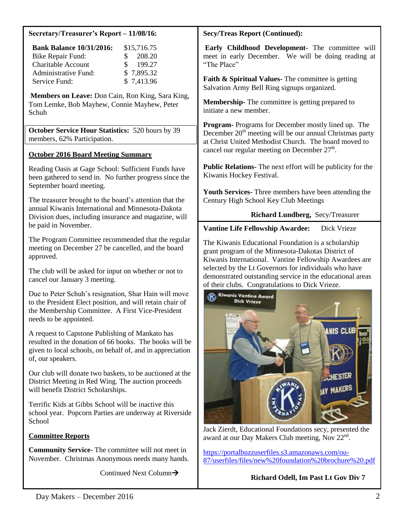#### **Secretary/Treasurer's Report – 11/08/16:**

| <b>Bank Balance 10/31/2016:</b> | \$15,716.75             |
|---------------------------------|-------------------------|
| Bike Repair Fund:               | $\frac{$}{208.20}$      |
| <b>Charitable Account</b>       | 199.27<br>$\mathcal{S}$ |
| <b>Administrative Fund:</b>     | \$7,895.32              |
| Service Fund:                   | \$7,413.96              |

**Members on Leave:** Don Cain, Ron King, Sara King, Tom Lemke, Bob Mayhew, Connie Mayhew, Peter Schuh

**October Service Hour Statistics:** 520 hours by 39 members, 62% Participation.

#### **October 2016 Board Meeting Summary**

Reading Oasis at Gage School: Sufficient Funds have been gathered to send in. No further progress since the September board meeting.

The treasurer brought to the board's attention that the annual Kiwanis International and Minnesota-Dakota Division dues, including insurance and magazine, will be paid in November.

The Program Committee recommended that the regular meeting on December 27 be cancelled, and the board approved.

The club will be asked for input on whether or not to cancel our January 3 meeting.

Due to Peter Schuh's resignation, Shar Hain will move to the President Elect position, and will retain chair of the Membership Committee. A First Vice-President needs to be appointed.

A request to Capstone Publishing of Mankato has resulted in the donation of 66 books. The books will be given to local schools, on behalf of, and in appreciation of, our speakers.

Our club will donate two baskets, to be auctioned at the District Meeting in Red Wing. The auction proceeds will benefit District Scholarships.

Terrific Kids at Gibbs School will be inactive this school year. Popcorn Parties are underway at Riverside School

## **Committee Reports**

**Community Service-** The committee will not meet in November. Christmas Anonymous needs many hands.

Continued Next Column $\rightarrow$ 

#### **Secy/Treas Report (Continued):**

**Early Childhood Development-** The committee will meet in early December. We will be doing reading at "The Place"

**Faith & Spiritual Values-** The committee is getting Salvation Army Bell Ring signups organized.

**Membership-** The committee is getting prepared to initiate a new member.

**Program-** Programs for December mostly lined up. The December  $20<sup>th</sup>$  meeting will be our annual Christmas party at Christ United Methodist Church. The board moved to cancel our regular meeting on December  $27<sup>th</sup>$ .

**Public Relations-** The next effort will be publicity for the Kiwanis Hockey Festival.

**Youth Services-** Three members have been attending the Century High School Key Club Meetings

## **Richard Lundberg,** Secy/Treasurer

## **Vantine Life Fellowship Awardee:** Dick Vrieze

The Kiwanis Educational Foundation is a scholarship grant program of the Minnesota-Dakotas District of Kiwanis International. Vantine Fellowship Awardees are selected by the Lt Governors for individuals who have demonstrated outstanding service in the educational areas of their clubs. Congratulations to Dick Vrieze.



Jack Zierdt, Educational Foundations secy, presented the award at our Day Makers Club meeting, Nov 22<sup>nd</sup>.

[https://portalbuzzuserfiles.s3.amazonaws.com/ou-](https://portalbuzzuserfiles.s3.amazonaws.com/ou-87/userfiles/files/new%20foundation%20brochure%20.pdf)[87/userfiles/files/new%20foundation%20brochure%20.pdf](https://portalbuzzuserfiles.s3.amazonaws.com/ou-87/userfiles/files/new%20foundation%20brochure%20.pdf)

## **Richard Odell, Im Past Lt Gov Div 7**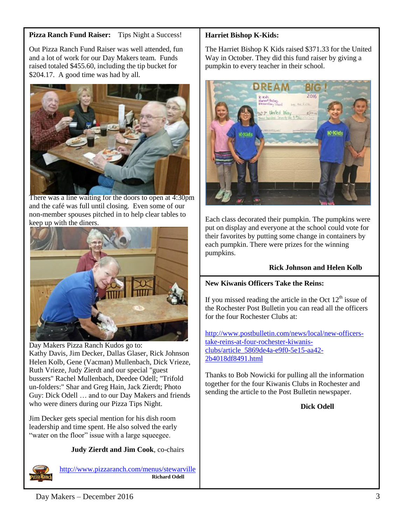# **Pizza Ranch Fund Raiser:** Tips Night a Success!

Out Pizza Ranch Fund Raiser was well attended, fun and a lot of work for our Day Makers team. Funds raised totaled \$455.60, including the tip bucket for \$204.17. A good time was had by all.



There was a line waiting for the doors to open at 4:30pm and the café was full until closing. Even some of our non-member spouses pitched in to help clear tables to keep up with the diners.



Day Makers Pizza Ranch Kudos go to: Kathy Davis, Jim Decker, Dallas Glaser, Rick Johnson Helen Kolb, Gene (Vacman) Mullenbach, Dick Vrieze, Ruth Vrieze, Judy Zierdt and our special "guest bussers" Rachel Mullenbach, Deedee Odell; "Trifold un-folders:" Shar and Greg Hain, Jack Zierdt; Photo Guy: Dick Odell … and to our Day Makers and friends who were diners during our Pizza Tips Night.

Jim Decker gets special mention for his dish room leadership and time spent. He also solved the early "water on the floor" issue with a large squeegee.

## **Judy Zierdt and Jim Cook**, co-chairs



<http://www.pizzaranch.com/menus/stewarville> **Richard Odell**

# **Harriet Bishop K-Kids:**

The Harriet Bishop K Kids raised \$371.33 for the United Way in October. They did this fund raiser by giving a pumpkin to every teacher in their school.



Each class decorated their pumpkin. The pumpkins were put on display and everyone at the school could vote for their favorites by putting some change in containers by each pumpkin. There were prizes for the winning pumpkins.

# **Rick Johnson and Helen Kolb**

# **New Kiwanis Officers Take the Reins:**

If you missed reading the article in the Oct  $12<sup>th</sup>$  issue of the Rochester Post Bulletin you can read all the officers for the four Rochester Clubs at:

[http://www.postbulletin.com/news/local/new-officers](http://www.postbulletin.com/news/local/new-officers-take-reins-at-four-rochester-kiwanis-clubs/article_5869de4a-e9f0-5e15-aa42-2b4018df8491.html)[take-reins-at-four-rochester-kiwanis](http://www.postbulletin.com/news/local/new-officers-take-reins-at-four-rochester-kiwanis-clubs/article_5869de4a-e9f0-5e15-aa42-2b4018df8491.html)[clubs/article\\_5869de4a-e9f0-5e15-aa42-](http://www.postbulletin.com/news/local/new-officers-take-reins-at-four-rochester-kiwanis-clubs/article_5869de4a-e9f0-5e15-aa42-2b4018df8491.html) [2b4018df8491.html](http://www.postbulletin.com/news/local/new-officers-take-reins-at-four-rochester-kiwanis-clubs/article_5869de4a-e9f0-5e15-aa42-2b4018df8491.html)

Thanks to Bob Nowicki for pulling all the information together for the four Kiwanis Clubs in Rochester and sending the article to the Post Bulletin newspaper.

**Dick Odell**